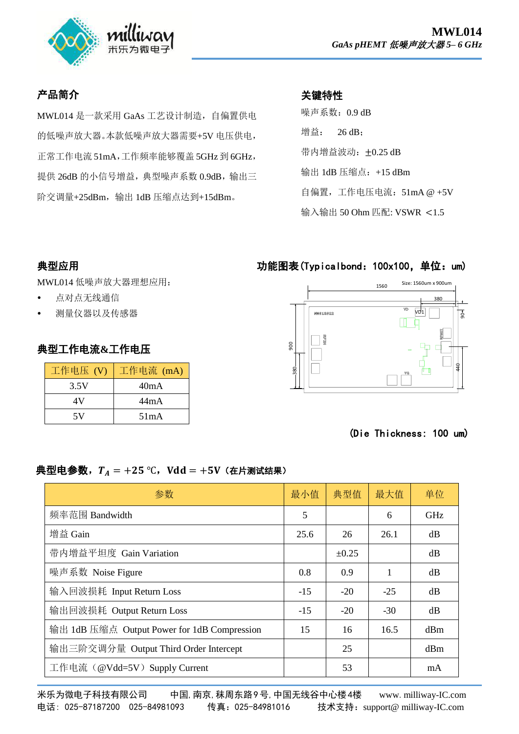

# 产品简介

MWL014 是一款采用 GaAs 工艺设计制造,自偏置供电 的低噪声放大器。本款低噪声放大器需要+5V 电压供电, 正常工作电流 51mA,工作频率能够覆盖 5GHz 到 6GHz, 提供 26dB 的小信号增益, 典型噪声系数 0.9dB, 输出三 阶交调量+25dBm,输出 1dB 压缩点达到+15dBm。

# 关键特性

噪声系数:0.9 dB 增益: 26 dB: 带内增益波动: ±0.25 dB 输出 1dB 压缩点:+15 dBm 自偏置,工作电压电流:  $51 \text{mA}$  @  $+5 \text{V}$ 输入输出 50 Ohm 匹配: VSWR <1.5

#### 典型应用

MWL014 低噪声放大器理想应用:

- 点对点无线通信
- 测量仪器以及传感器

#### 典型工作电流**&**工作电压

| 工作电压 (V) | 工作电流 (mA) |  |  |
|----------|-----------|--|--|
| 3.5V     | 40mA      |  |  |
| 4V       | 44mA      |  |  |
| 5V       | 51mA      |  |  |

## 功能图表(Typicalbond:100x100,单位:um)



#### (Die Thickness: 100 um)

#### 典型电参数,  $T_A = +25$  °C, Vdd = +5V (在片测试结果)

| 参数                                          | 最小值   | 典型值        | 最大值   | 单位         |
|---------------------------------------------|-------|------------|-------|------------|
| 频率范围 Bandwidth                              | 5     |            | 6     | <b>GHz</b> |
| 增益 Gain                                     | 25.6  | 26         | 26.1  | dB         |
| 带内增益平坦度 Gain Variation                      |       | $\pm 0.25$ |       | dB         |
| 噪声系数 Noise Figure                           | 0.8   | 0.9        | 1     | dB         |
| 输入回波损耗 Input Return Loss                    | $-15$ | $-20$      | $-25$ | dB         |
| 输出回波损耗 Output Return Loss                   | $-15$ | $-20$      | $-30$ | dB         |
| 输出 1dB 压缩点 Output Power for 1dB Compression | 15    | 16         | 16.5  | dBm        |
| 输出三阶交调分量 Output Third Order Intercept       |       | 25         |       | dBm        |
| 工作电流 (@Vdd=5V) Supply Current               |       | 53         |       | mA         |